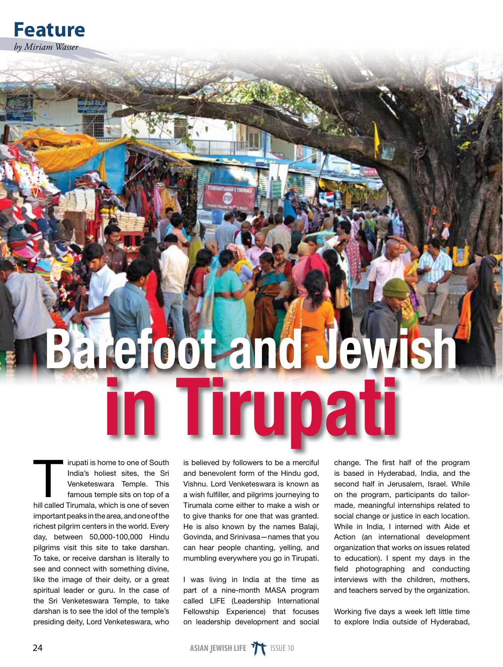

## arefoot and Jew rupat

irupati is home to one of South India's holiest sites, the Sri Venketeswara Temple. This famous temple sits on top of a hill called Tirumala, which is one of seven important peaks in the area, and one of the richest pilgrim centers in the world. Every day, between 50,000-100,000 Hindu pilgrims visit this site to take darshan. To take, or receive darshan is literally to see and connect with something divine, like the image of their deity, or a great spiritual leader or guru. In the case of the Sri Venketeswara Temple, to take darshan is to see the idol of the temple's presiding deity, Lord Venketeswara, who

is believed by followers to be a merciful and benevolent form of the Hindu god, Vishnu. Lord Venketeswara is known as a wish fulfiller, and pilgrims journeying to Tirumala come either to make a wish or to give thanks for one that was granted. He is also known by the names Balaji, Govinda, and Srinivasa—names that you can hear people chanting, yelling, and mumbling everywhere you go in Tirupati.

I was living in India at the time as part of a nine-month MASA program called LIFE (Leadership International Fellowship Experience) that focuses on leadership development and social

change. The first half of the program is based in Hyderabad, India, and the second half in Jerusalem, Israel. While on the program, participants do tailormade, meaningful internships related to social change or justice in each location. While in India, I interned with Aide et Action (an international development organization that works on issues related to education). I spent my days in the field photographing and conducting interviews with the children, mothers, and teachers served by the organization.

Working five days a week left little time to explore India outside of Hyderabad,

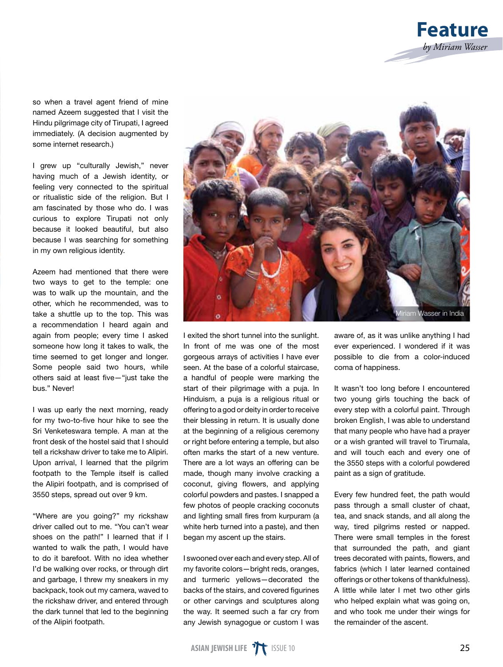

so when a travel agent friend of mine named Azeem suggested that I visit the Hindu pilgrimage city of Tirupati, I agreed immediately. (A decision augmented by some internet research.)

I grew up "culturally Jewish," never having much of a Jewish identity, or feeling very connected to the spiritual or ritualistic side of the religion. But I am fascinated by those who do. I was curious to explore Tirupati not only because it looked beautiful, but also because I was searching for something in my own religious identity.

Azeem had mentioned that there were two ways to get to the temple: one was to walk up the mountain, and the other, which he recommended, was to take a shuttle up to the top. This was a recommendation I heard again and again from people; every time I asked someone how long it takes to walk, the time seemed to get longer and longer. Some people said two hours, while others said at least five—"just take the bus." Never!

I was up early the next morning, ready for my two-to-five hour hike to see the Sri Venketeswara temple. A man at the front desk of the hostel said that I should tell a rickshaw driver to take me to Alipiri. Upon arrival, I learned that the pilgrim footpath to the Temple itself is called the Alipiri footpath, and is comprised of 3550 steps, spread out over 9 km.

"Where are you going?" my rickshaw driver called out to me. "You can't wear shoes on the path!" I learned that if I wanted to walk the path, I would have to do it barefoot. With no idea whether I'd be walking over rocks, or through dirt and garbage, I threw my sneakers in my backpack, took out my camera, waved to the rickshaw driver, and entered through the dark tunnel that led to the beginning of the Alipiri footpath.



I exited the short tunnel into the sunlight. In front of me was one of the most gorgeous arrays of activities I have ever seen. At the base of a colorful staircase, a handful of people were marking the start of their pilgrimage with a puja. In Hinduism, a puja is a religious ritual or offering to a god or deity in order to receive their blessing in return. It is usually done at the beginning of a religious ceremony or right before entering a temple, but also often marks the start of a new venture. There are a lot ways an offering can be made, though many involve cracking a coconut, giving flowers, and applying colorful powders and pastes. I snapped a few photos of people cracking coconuts and lighting small fires from kurpuram (a white herb turned into a paste), and then began my ascent up the stairs.

I swooned over each and every step. All of my favorite colors—bright reds, oranges, and turmeric yellows—decorated the backs of the stairs, and covered figurines or other carvings and sculptures along the way. It seemed such a far cry from any Jewish synagogue or custom I was

aware of, as it was unlike anything I had ever experienced. I wondered if it was possible to die from a color-induced coma of happiness.

It wasn't too long before I encountered two young girls touching the back of every step with a colorful paint. Through broken English, I was able to understand that many people who have had a prayer or a wish granted will travel to Tirumala, and will touch each and every one of the 3550 steps with a colorful powdered paint as a sign of gratitude.

Every few hundred feet, the path would pass through a small cluster of chaat, tea, and snack stands, and all along the way, tired pilgrims rested or napped. There were small temples in the forest that surrounded the path, and giant trees decorated with paints, flowers, and fabrics (which I later learned contained offerings or other tokens of thankfulness). A little while later I met two other girls who helped explain what was going on, and who took me under their wings for the remainder of the ascent.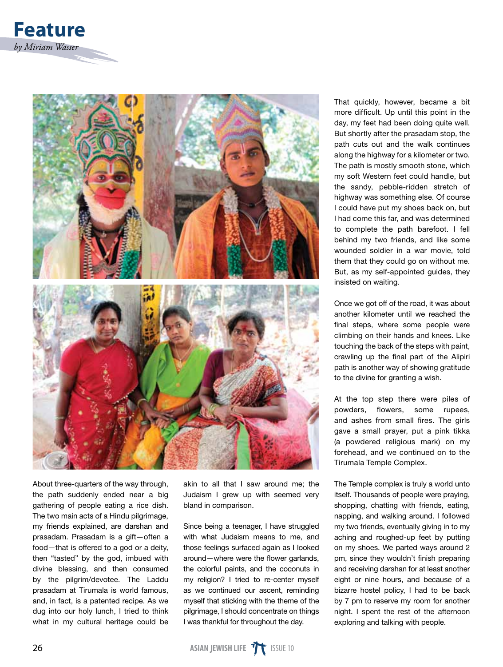

About three-quarters of the way through, the path suddenly ended near a big gathering of people eating a rice dish. The two main acts of a Hindu pilgrimage, my friends explained, are darshan and prasadam. Prasadam is a gift—often a food—that is offered to a god or a deity, then "tasted" by the god, imbued with divine blessing, and then consumed by the pilgrim/devotee. The Laddu prasadam at Tirumala is world famous, and, in fact, is a patented recipe. As we dug into our holy lunch, I tried to think what in my cultural heritage could be akin to all that I saw around me; the Judaism I grew up with seemed very bland in comparison.

Since being a teenager, I have struggled with what Judaism means to me, and those feelings surfaced again as I looked around—where were the flower garlands, the colorful paints, and the coconuts in my religion? I tried to re-center myself as we continued our ascent, reminding myself that sticking with the theme of the pilgrimage, I should concentrate on things I was thankful for throughout the day.

That quickly, however, became a bit more difficult. Up until this point in the day, my feet had been doing quite well. But shortly after the prasadam stop, the path cuts out and the walk continues along the highway for a kilometer or two. The path is mostly smooth stone, which my soft Western feet could handle, but the sandy, pebble-ridden stretch of highway was something else. Of course I could have put my shoes back on, but I had come this far, and was determined to complete the path barefoot. I fell behind my two friends, and like some wounded soldier in a war movie, told them that they could go on without me. But, as my self-appointed guides, they insisted on waiting.

Once we got off of the road, it was about another kilometer until we reached the final steps, where some people were climbing on their hands and knees. Like touching the back of the steps with paint, crawling up the final part of the Alipiri path is another way of showing gratitude to the divine for granting a wish.

At the top step there were piles of powders, flowers, some rupees, and ashes from small fires. The girls gave a small prayer, put a pink tikka (a powdered religious mark) on my forehead, and we continued on to the Tirumala Temple Complex.

The Temple complex is truly a world unto itself. Thousands of people were praying, shopping, chatting with friends, eating, napping, and walking around. I followed my two friends, eventually giving in to my aching and roughed-up feet by putting on my shoes. We parted ways around 2 pm, since they wouldn't finish preparing and receiving darshan for at least another eight or nine hours, and because of a bizarre hostel policy, I had to be back by 7 pm to reserve my room for another night. I spent the rest of the afternoon exploring and talking with people.

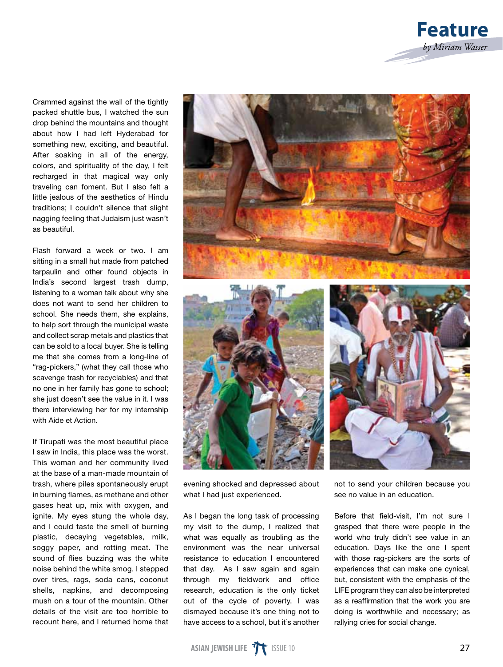

Crammed against the wall of the tightly packed shuttle bus, I watched the sun drop behind the mountains and thought about how I had left Hyderabad for something new, exciting, and beautiful. After soaking in all of the energy, colors, and spirituality of the day, I felt recharged in that magical way only traveling can foment. But I also felt a little jealous of the aesthetics of Hindu traditions; I couldn't silence that slight nagging feeling that Judaism just wasn't as beautiful.

Flash forward a week or two. I am sitting in a small hut made from patched tarpaulin and other found objects in India's second largest trash dump, listening to a woman talk about why she does not want to send her children to school. She needs them, she explains, to help sort through the municipal waste and collect scrap metals and plastics that can be sold to a local buyer. She is telling me that she comes from a long-line of "rag-pickers," (what they call those who scavenge trash for recyclables) and that no one in her family has gone to school; she just doesn't see the value in it. I was there interviewing her for my internship with Aide et Action.

If Tirupati was the most beautiful place I saw in India, this place was the worst. This woman and her community lived at the base of a man-made mountain of trash, where piles spontaneously erupt in burning flames, as methane and other gases heat up, mix with oxygen, and ignite. My eyes stung the whole day, and I could taste the smell of burning plastic, decaying vegetables, milk, soggy paper, and rotting meat. The sound of flies buzzing was the white noise behind the white smog. I stepped over tires, rags, soda cans, coconut shells, napkins, and decomposing mush on a tour of the mountain. Other details of the visit are too horrible to recount here, and I returned home that



evening shocked and depressed about what I had just experienced.

As I began the long task of processing my visit to the dump, I realized that what was equally as troubling as the environment was the near universal resistance to education I encountered that day. As I saw again and again through my fieldwork and office research, education is the only ticket out of the cycle of poverty. I was dismayed because it's one thing not to have access to a school, but it's another

not to send your children because you see no value in an education.

Before that field-visit, I'm not sure I grasped that there were people in the world who truly didn't see value in an education. Days like the one I spent with those rag-pickers are the sorts of experiences that can make one cynical, but, consistent with the emphasis of the LIFE program they can also be interpreted as a reaffirmation that the work you are doing is worthwhile and necessary; as rallying cries for social change.